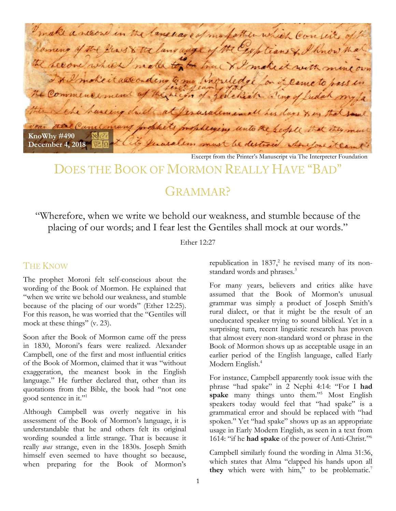make a necone in the language of mo father which consists of Jaming of the Peas & the language of the Explians & I know the The hecone which make to be true & I make it with mine own \* I mokeit according to me huguledge for it cameto pass in the Commencement of the reign of Jedeliah wing of fudah my fa the sche hunting druck at ferasaleminall his days & in that year there Came many proph Insphering unto the seople the **KnoWhy #490**  $827$ they feralem must be destroid when you it can the **December 4, 2018 RQ** 

Excerpt from the Printer's Manuscript via The Interpreter Foundation

# DOES THE BOOK OF MORMON REALLY HAVE "BAD"

# GRAMMAR<sup>2</sup>

"Wherefore, when we write we behold our weakness, and stumble because of the placing of our words; and I fear lest the Gentiles shall mock at our words."

Ether 12:27

#### THE KNOW

The prophet Moroni felt self-conscious about the wording of the Book of Mormon. He explained that "when we write we behold our weakness, and stumble because of the placing of our words" (Ether 12:25). For this reason, he was worried that the "Gentiles will mock at these things" (v. 23).

Soon after the Book of Mormon came off the press in 1830, Moroni's fears were realized. Alexander Campbell, one of the first and most influential critics of the Book of Mormon, claimed that it was "without exaggeration, the meanest book in the English language." He further declared that, other than its quotations from the Bible, the book had "not one good sentence in it."1

Although Campbell was overly negative in his assessment of the Book of Mormon's language, it is understandable that he and others felt its original wording sounded a little strange. That is because it really *was* strange, even in the 1830s. Joseph Smith himself even seemed to have thought so because, when preparing for the Book of Mormon's republication in  $1837$ , he revised many of its nonstandard words and phrases.<sup>3</sup>

For many years, believers and critics alike have assumed that the Book of Mormon's unusual grammar was simply a product of Joseph Smith's rural dialect, or that it might be the result of an uneducated speaker trying to sound biblical. Yet in a surprising turn, recent linguistic research has proven that almost every non-standard word or phrase in the Book of Mormon shows up as acceptable usage in an earlier period of the English language, called Early Modern English.<sup>4</sup>

For instance, Campbell apparently took issue with the phrase "had spake" in 2 Nephi 4:14: "For I **had spake** many things unto them."<sup>5</sup> Most English speakers today would feel that "had spake" is a grammatical error and should be replaced with "had spoken." Yet "had spake" shows up as an appropriate usage in Early Modern English, as seen in a text from 1614: "if he **had spake** of the power of Anti-Christ."6

Campbell similarly found the wording in Alma 31:36, which states that Alma "clapped his hands upon all they which were with him," to be problematic.<sup>7</sup>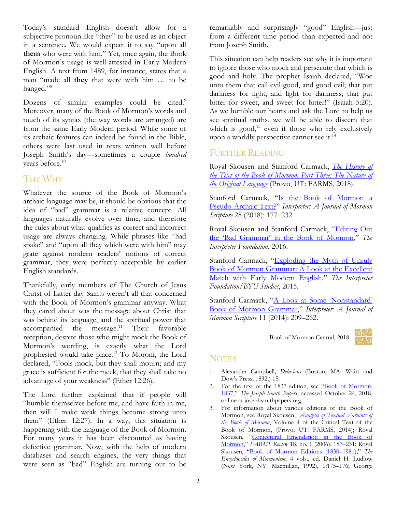Today's standard English doesn't allow for a subjective pronoun like "they" to be used as an object in a sentence. We would expect it to say "upon all **them** who were with him." Yet, once again, the Book of Mormon's usage is well-attested in Early Modern English. A text from 1489, for instance, states that a man "made all **they** that were with him … to be hanged."<sup>8</sup>

Dozens of similar examples could be cited.<sup>9</sup> Moreover, many of the Book of Mormon's words and much of its syntax (the way words are arranged) are from the same Early Modern period. While some of its archaic features can indeed be found in the Bible, others were last used in texts written well before Joseph Smith's day—sometimes a couple *hundred*  years before.10

## THE WHY

Whatever the source of the Book of Mormon's archaic language may be, it should be obvious that the idea of "bad" grammar is a relative concept. All languages naturally evolve over time, and therefore the rules about what qualifies as correct and incorrect usage are always changing. While phrases like "had spake" and "upon all they which were with him" may grate against modern readers' notions of correct grammar, they were perfectly acceptable by earlier English standards.

Thankfully, early members of The Church of Jesus Christ of Latter-day Saints weren't all that concerned with the Book of Mormon's grammar anyway. What they cared about was the message about Christ that was behind its language, and the spiritual power that  $accompanel$  the message.<sup>11</sup> Their favorable reception, despite those who might mock the Book of Mormon's wording, is exactly what the Lord prophesied would take place.12 To Moroni, the Lord declared, "Fools mock, but they shall mourn; and my grace is sufficient for the meek, that they shall take no advantage of your weakness" (Ether 12:26).

The Lord further explained that if people will "humble themselves before me, and have faith in me, then will I make weak things become strong unto them" (Ether 12:27). In a way, this situation is happening with the language of the Book of Mormon. For many years it has been discounted as having defective grammar. Now, with the help of modern databases and search engines, the very things that were seen as "bad" English are turning out to be

remarkably and surprisingly "good" English—just from a different time period than expected and not from Joseph Smith.

This situation can help readers see why it is important to ignore those who mock and persecute that which is good and holy. The prophet Isaiah declared, "Woe unto them that call evil good, and good evil; that put darkness for light, and light for darkness; that put bitter for sweet, and sweet for bitter!" (Isaiah 5:20). As we humble our hearts and ask the Lord to help us see spiritual truths, we will be able to discern that which is good, $13$  even if those who rely exclusively upon a worldly perspective cannot see it.<sup>14</sup>

### FURTHER READING

Royal Skousen and Stanford Carmack, *[The History of](https://byustudies.byu.edu/content/nature-original-language-book-mormon-parts-3-and-4-volume-iii-book-mormon-critical-text)  [the Text of the Book of Mormon, Part Three: The Nature of](https://byustudies.byu.edu/content/nature-original-language-book-mormon-parts-3-and-4-volume-iii-book-mormon-critical-text)  [the Original Language](https://byustudies.byu.edu/content/nature-original-language-book-mormon-parts-3-and-4-volume-iii-book-mormon-critical-text)* (Provo, UT: FARMS, 2018).

Stanford Carmack, "Is the Book of Mormon a [Pseudo-Archaic Text?"](https://archive.bookofmormoncentral.org/content/book-mormon-pseudo-archaic-text) *Interpreter: A Journal of Mormon Scripture* 28 (2018): 177–232.

Royal Skousen and Stanford Carmack, ["Editing Out](https://archive.bookofmormoncentral.org/content/editing-out-bad-grammar-book-mormon)  [the 'Bad Grammar' in the Book of Mormon,](https://archive.bookofmormoncentral.org/content/editing-out-bad-grammar-book-mormon)" *The Interpreter Foundation*, 2016.

Stanford Carmack, ["Exploding the Myth of Unruly](https://archive.bookofmormoncentral.org/content/exploding-myth-unruly-book-mormon-grammar-look-excellent-match-early-modern-english)  [Book of Mormon Grammar: A Look at the Excellent](https://archive.bookofmormoncentral.org/content/exploding-myth-unruly-book-mormon-grammar-look-excellent-match-early-modern-english)  [Match with Early Modern English,](https://archive.bookofmormoncentral.org/content/exploding-myth-unruly-book-mormon-grammar-look-excellent-match-early-modern-english)" *The Interpreter Foundation*/*BYU Studies*, 2015.

Stanford Carmack, "A Look at Some 'Nonstandard' [Book of Mormon Grammar,](https://archive.bookofmormoncentral.org/content/look-some-nonstandard-book-mormon-grammar)" *Interpreter: A Journal of Mormon Scripture* 11 (2014): 209–262.

Book of Mormon Central, 2018



### **NOTES**

- 1. Alexander Campbell, *Delusions* (Boston, MA: Waitt and Dow's Press, 1832,) 15.
- 2. For the text of the 1837 edition, see ["Book of Mormon,](https://www.josephsmithpapers.org/paper-summary/book-of-mormon-1837/1)  [1837,"](https://www.josephsmithpapers.org/paper-summary/book-of-mormon-1837/1) *The Joseph Smith Papers*, accessed October 24, 2018, online at josephsmithpapers.org.
- 3. For information about various editions of the Book of Mormon, see Royal Skousen, *[Analysis of Textual Variants of](https://interpreterfoundation.org/books/atv/p1/)  [the Book of Mormon](https://interpreterfoundation.org/books/atv/p1/)*, Volume 4 of the Critical Text of the Book of Mormon, (Provo, UT: FARMS, 2014); Royal Skousen, ["Conjectural Emendation in the Book of](https://archive.bookofmormoncentral.org/content/conjectural-emendation-book-mormon)  [Mormon,"](https://archive.bookofmormoncentral.org/content/conjectural-emendation-book-mormon) *FARMS Review* 18, no. 1 (2006): 187–231; Royal Skousen, ["Book of Mormon Editions \(1830–1981\),"](http://eom.byu.edu/index.php/Book_of_Mormon_Editions_(1830-1981)) *The Encyclopedia of Mormonism*, 4 vols., ed. Daniel H. Ludlow (New York, NY: Macmillan, 1992), 1:175–176; George